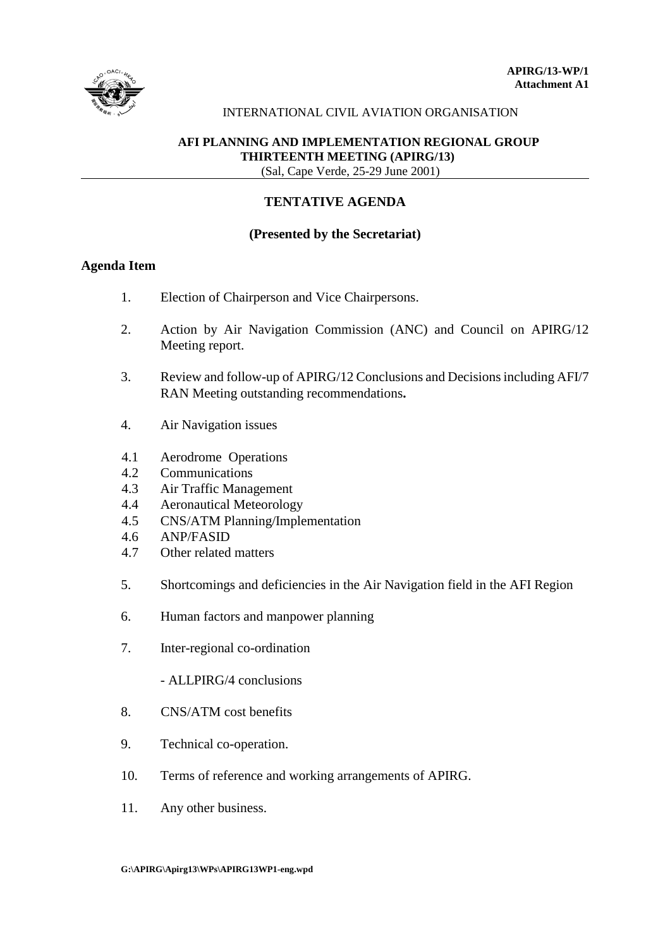

## INTERNATIONAL CIVIL AVIATION ORGANISATION

## **AFI PLANNING AND IMPLEMENTATION REGIONAL GROUP THIRTEENTH MEETING (APIRG/13)** (Sal, Cape Verde, 25-29 June 2001)

## **TENTATIVE AGENDA**

## **(Presented by the Secretariat)**

# **Agenda Item**

- 1. Election of Chairperson and Vice Chairpersons.
- 2. Action by Air Navigation Commission (ANC) and Council on APIRG/12 Meeting report.
- 3. Review and follow-up of APIRG/12 Conclusions and Decisions including AFI/7 RAN Meeting outstanding recommendations**.**
- 4. Air Navigation issues
- 4.1 Aerodrome Operations
- 4.2 Communications
- 4.3 Air Traffic Management
- 4.4 Aeronautical Meteorology
- 4.5 CNS/ATM Planning/Implementation
- 4.6 ANP/FASID
- 4.7 Other related matters
- 5. Shortcomings and deficiencies in the Air Navigation field in the AFI Region
- 6. Human factors and manpower planning
- 7. Inter-regional co-ordination
	- ALLPIRG/4 conclusions
- 8. CNS/ATM cost benefits
- 9. Technical co-operation.
- 10. Terms of reference and working arrangements of APIRG.
- 11. Any other business.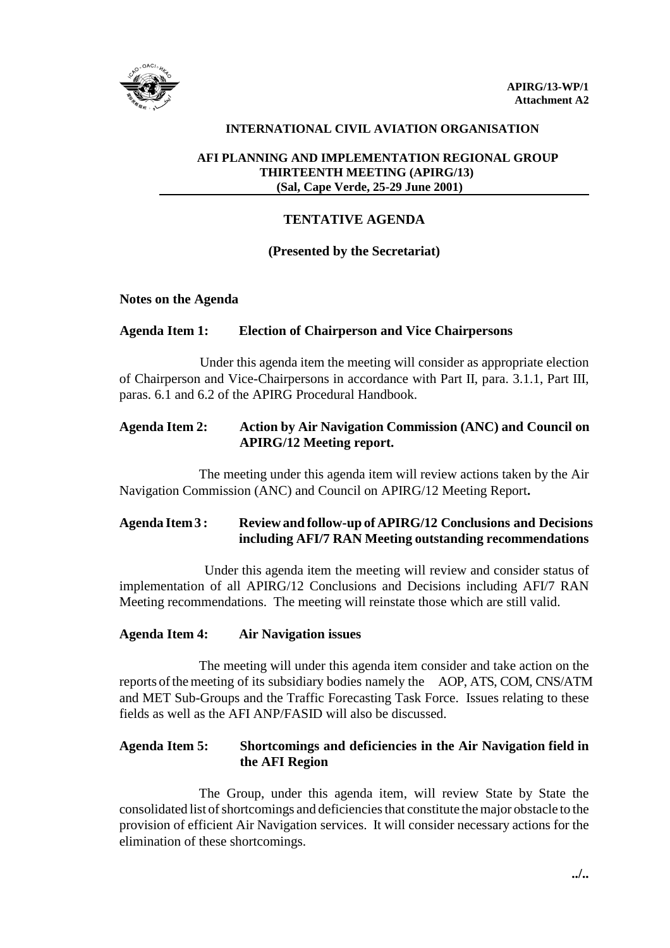

## **INTERNATIONAL CIVIL AVIATION ORGANISATION**

## **AFI PLANNING AND IMPLEMENTATION REGIONAL GROUP THIRTEENTH MEETING (APIRG/13) (Sal, Cape Verde, 25-29 June 2001)**

## **TENTATIVE AGENDA**

#### **(Presented by the Secretariat)**

#### **Notes on the Agenda**

#### **Agenda Item 1: Election of Chairperson and Vice Chairpersons**

Under this agenda item the meeting will consider as appropriate election of Chairperson and Vice-Chairpersons in accordance with Part II, para. 3.1.1, Part III, paras. 6.1 and 6.2 of the APIRG Procedural Handbook.

# **Agenda Item 2: Action by Air Navigation Commission (ANC) and Council on APIRG/12 Meeting report.**

The meeting under this agenda item will review actions taken by the Air Navigation Commission (ANC) and Council on APIRG/12 Meeting Report**.**

# **Agenda Item 3 : Review and follow-up of APIRG/12 Conclusions and Decisions including AFI/7 RAN Meeting outstanding recommendations**

 Under this agenda item the meeting will review and consider status of implementation of all APIRG/12 Conclusions and Decisions including AFI/7 RAN Meeting recommendations. The meeting will reinstate those which are still valid.

## **Agenda Item 4: Air Navigation issues**

The meeting will under this agenda item consider and take action on the reports of the meeting of its subsidiary bodies namely the AOP, ATS, COM, CNS/ATM and MET Sub-Groups and the Traffic Forecasting Task Force. Issues relating to these fields as well as the AFI ANP/FASID will also be discussed.

# **Agenda Item 5: Shortcomings and deficiencies in the Air Navigation field in the AFI Region**

The Group, under this agenda item, will review State by State the consolidated list of shortcomings and deficiencies that constitute the major obstacle to the provision of efficient Air Navigation services. It will consider necessary actions for the elimination of these shortcomings.